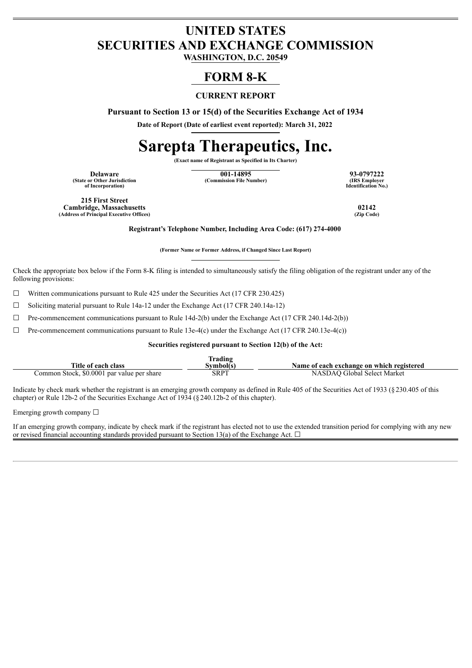## **UNITED STATES SECURITIES AND EXCHANGE COMMISSION**

**WASHINGTON, D.C. 20549**

### **FORM 8-K**

### **CURRENT REPORT**

**Pursuant to Section 13 or 15(d) of the Securities Exchange Act of 1934**

**Date of Report (Date of earliest event reported): March 31, 2022**

# **Sarepta Therapeutics, Inc.**

**(Exact name of Registrant as Specified in Its Charter)**

**(State or Other Jurisdiction of Incorporation)**

**Delaware 001-14895 93-0797222**<br> **1 OPEN COMMISSION COMMISSION COMMISSION COMMISSION PHOTO (Commission File Number) (IRS Employer**

**Identification No.)**

**215 First Street Cambridge, Massachusetts 02142 (Address of Principal Executive Offices)** 

**Registrant's Telephone Number, Including Area Code: (617) 274-4000**

**(Former Name or Former Address, if Changed Since Last Report)**

Check the appropriate box below if the Form 8-K filing is intended to simultaneously satisfy the filing obligation of the registrant under any of the following provisions:

☐ Written communications pursuant to Rule 425 under the Securities Act (17 CFR 230.425)

☐ Soliciting material pursuant to Rule 14a-12 under the Exchange Act (17 CFR 240.14a-12)

 $\Box$  Pre-commencement communications pursuant to Rule 14d-2(b) under the Exchange Act (17 CFR 240.14d-2(b))

 $\Box$  Pre-commencement communications pursuant to Rule 13e-4(c) under the Exchange Act (17 CFR 240.13e-4(c))

### **Securities registered pursuant to Section 12(b) of the Act:**

|                                            | Trading   |                                           |
|--------------------------------------------|-----------|-------------------------------------------|
| Title of each class                        | Svmbol(s` | Name of each exchange on which registered |
| Common Stock, \$0,0001 par value per share | SRPT      | NASDAO Global Select Market               |

Indicate by check mark whether the registrant is an emerging growth company as defined in Rule 405 of the Securities Act of 1933 (§230.405 of this chapter) or Rule 12b-2 of the Securities Exchange Act of 1934 (§240.12b-2 of this chapter).

Emerging growth company  $\Box$ 

If an emerging growth company, indicate by check mark if the registrant has elected not to use the extended transition period for complying with any new or revised financial accounting standards provided pursuant to Section 13(a) of the Exchange Act.  $\Box$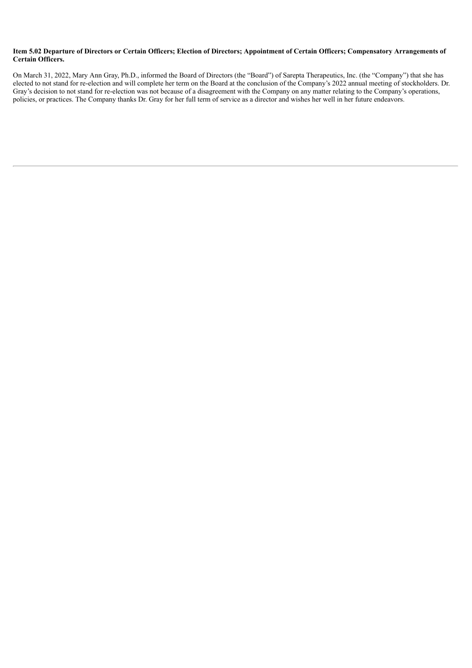### Item 5.02 Departure of Directors or Certain Officers; Election of Directors; Appointment of Certain Officers; Compensatory Arrangements of **Certain Officers.**

On March 31, 2022, Mary Ann Gray, Ph.D., informed the Board of Directors (the "Board") of Sarepta Therapeutics, Inc. (the "Company") that she has elected to not stand for re-election and will complete her term on the Board at the conclusion of the Company's 2022 annual meeting of stockholders. Dr. Gray's decision to not stand for re-election was not because of a disagreement with the Company on any matter relating to the Company's operations, policies, or practices. The Company thanks Dr. Gray for her full term of service as a director and wishes her well in her future endeavors.